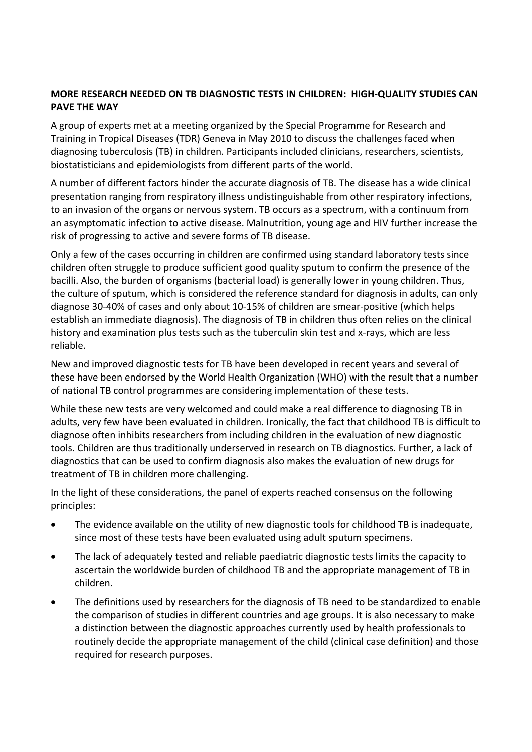# **MORE RESEARCH NEEDED ON TB DIAGNOSTIC TESTS IN CHILDREN: HIGH‐QUALITY STUDIES CAN PAVE THE WAY**

A group of experts met at a meeting organized by the Special Programme for Research and Training in Tropical Diseases (TDR) Geneva in May 2010 to discuss the challenges faced when diagnosing tuberculosis (TB) in children. Participants included clinicians, researchers, scientists, biostatisticians and epidemiologists from different parts of the world.

A number of different factors hinder the accurate diagnosis of TB. The disease has a wide clinical presentation ranging from respiratory illness undistinguishable from other respiratory infections, to an invasion of the organs or nervous system. TB occurs as a spectrum, with a continuum from an asymptomatic infection to active disease. Malnutrition, young age and HIV further increase the risk of progressing to active and severe forms of TB disease.

Only a few of the cases occurring in children are confirmed using standard laboratory tests since children often struggle to produce sufficient good quality sputum to confirm the presence of the bacilli. Also, the burden of organisms (bacterial load) is generally lower in young children. Thus, the culture of sputum, which is considered the reference standard for diagnosis in adults, can only diagnose 30‐40% of cases and only about 10‐15% of children are smear‐positive (which helps establish an immediate diagnosis). The diagnosis of TB in children thus often relies on the clinical history and examination plus tests such as the tuberculin skin test and x-rays, which are less reliable.

New and improved diagnostic tests for TB have been developed in recent years and several of these have been endorsed by the World Health Organization (WHO) with the result that a number of national TB control programmes are considering implementation of these tests.

While these new tests are very welcomed and could make a real difference to diagnosing TB in adults, very few have been evaluated in children. Ironically, the fact that childhood TB is difficult to diagnose often inhibits researchers from including children in the evaluation of new diagnostic tools. Children are thus traditionally underserved in research on TB diagnostics. Further, a lack of diagnostics that can be used to confirm diagnosis also makes the evaluation of new drugs for treatment of TB in children more challenging.

In the light of these considerations, the panel of experts reached consensus on the following principles:

- The evidence available on the utility of new diagnostic tools for childhood TB is inadequate, since most of these tests have been evaluated using adult sputum specimens.
- The lack of adequately tested and reliable paediatric diagnostic tests limits the capacity to ascertain the worldwide burden of childhood TB and the appropriate management of TB in children.
- The definitions used by researchers for the diagnosis of TB need to be standardized to enable the comparison of studies in different countries and age groups. It is also necessary to make a distinction between the diagnostic approaches currently used by health professionals to routinely decide the appropriate management of the child (clinical case definition) and those required for research purposes.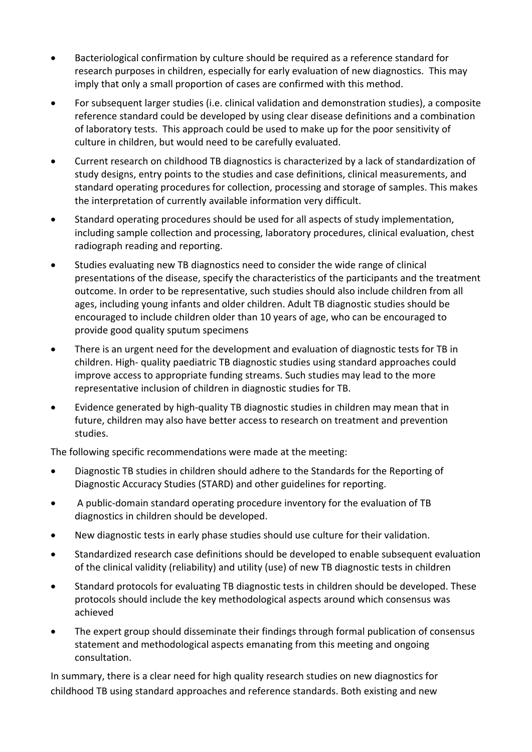- Bacteriological confirmation by culture should be required as a reference standard for research purposes in children, especially for early evaluation of new diagnostics. This may imply that only a small proportion of cases are confirmed with this method.
- For subsequent larger studies (i.e. clinical validation and demonstration studies), a composite reference standard could be developed by using clear disease definitions and a combination of laboratory tests. This approach could be used to make up for the poor sensitivity of culture in children, but would need to be carefully evaluated.
- Current research on childhood TB diagnostics is characterized by a lack of standardization of study designs, entry points to the studies and case definitions, clinical measurements, and standard operating procedures for collection, processing and storage of samples. This makes the interpretation of currently available information very difficult.
- Standard operating procedures should be used for all aspects of study implementation, including sample collection and processing, laboratory procedures, clinical evaluation, chest radiograph reading and reporting.
- Studies evaluating new TB diagnostics need to consider the wide range of clinical presentations of the disease, specify the characteristics of the participants and the treatment outcome. In order to be representative, such studies should also include children from all ages, including young infants and older children. Adult TB diagnostic studies should be encouraged to include children older than 10 years of age, who can be encouraged to provide good quality sputum specimens
- There is an urgent need for the development and evaluation of diagnostic tests for TB in children. High‐ quality paediatric TB diagnostic studies using standard approaches could improve access to appropriate funding streams. Such studies may lead to the more representative inclusion of children in diagnostic studies for TB.
- Evidence generated by high‐quality TB diagnostic studies in children may mean that in future, children may also have better access to research on treatment and prevention studies.

The following specific recommendations were made at the meeting:

- Diagnostic TB studies in children should adhere to the Standards for the Reporting of Diagnostic Accuracy Studies (STARD) and other guidelines for reporting.
- A public‐domain standard operating procedure inventory for the evaluation of TB diagnostics in children should be developed.
- New diagnostic tests in early phase studies should use culture for their validation.
- Standardized research case definitions should be developed to enable subsequent evaluation of the clinical validity (reliability) and utility (use) of new TB diagnostic tests in children
- Standard protocols for evaluating TB diagnostic tests in children should be developed. These protocols should include the key methodological aspects around which consensus was achieved
- The expert group should disseminate their findings through formal publication of consensus statement and methodological aspects emanating from this meeting and ongoing consultation.

In summary, there is a clear need for high quality research studies on new diagnostics for childhood TB using standard approaches and reference standards. Both existing and new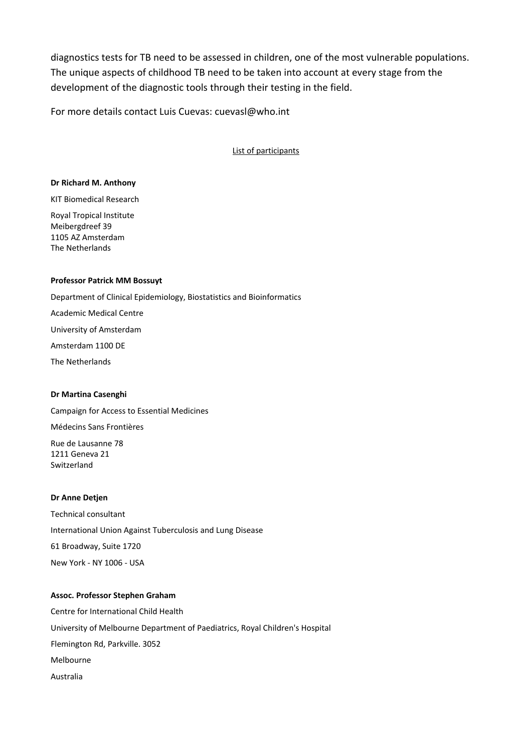diagnostics tests for TB need to be assessed in children, one of the most vulnerable populations. The unique aspects of childhood TB need to be taken into account at every stage from the development of the diagnostic tools through their testing in the field.

For more details contact Luis Cuevas: cuevasl@who.int

List of participants

#### **Dr Richard M. Anthony**

KIT Biomedical Research

Royal Tropical Institute Meibergdreef 39 1105 AZ Amsterdam The Netherlands

#### **Professor Patrick MM Bossuyt**

Department of Clinical Epidemiology, Biostatistics and Bioinformatics Academic Medical Centre University of Amsterdam Amsterdam 1100 DE The Netherlands

## **Dr Martina Casenghi**

Campaign for Access to Essential Medicines Médecins Sans Frontières Rue de Lausanne 78 1211 Geneva 21 Switzerland

## **Dr Anne Detjen**

Technical consultant International Union Against Tuberculosis and Lung Disease 61 Broadway, Suite 1720 New York ‐ NY 1006 ‐ USA

#### **Assoc. Professor Stephen Graham**

Centre for International Child Health University of Melbourne Department of Paediatrics, Royal Children's Hospital Flemington Rd, Parkville. 3052 Melbourne Australia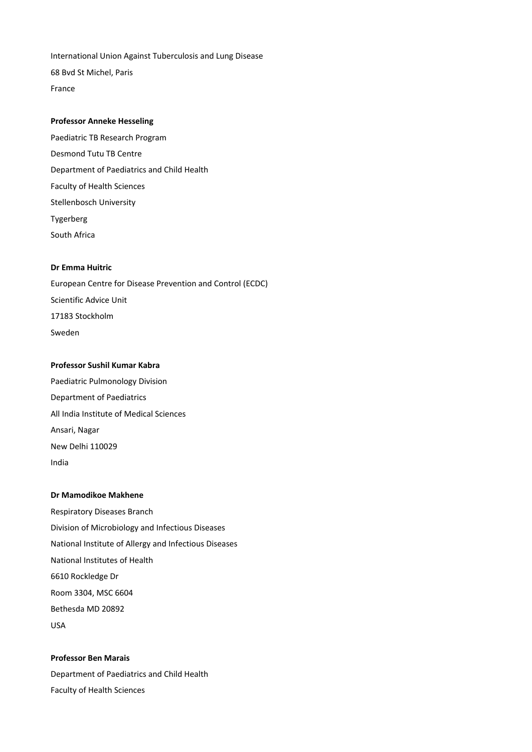International Union Against Tuberculosis and Lung Disease 68 Bvd St Michel, Paris France

#### **Professor Anneke Hesseling**

Paediatric TB Research Program Desmond Tutu TB Centre Department of Paediatrics and Child Health Faculty of Health Sciences Stellenbosch University Tygerberg South Africa

#### **Dr Emma Huitric**

European Centre for Disease Prevention and Control (ECDC) Scientific Advice Unit 17183 Stockholm Sweden

#### **Professor Sushil Kumar Kabra**

Paediatric Pulmonology Division Department of Paediatrics All India Institute of Medical Sciences Ansari, Nagar New Delhi 110029 India

#### **Dr Mamodikoe Makhene**

Respiratory Diseases Branch Division of Microbiology and Infectious Diseases National Institute of Allergy and Infectious Diseases National Institutes of Health 6610 Rockledge Dr Room 3304, MSC 6604 Bethesda MD 20892 USA

**Professor Ben Marais** Department of Paediatrics and Child Health Faculty of Health Sciences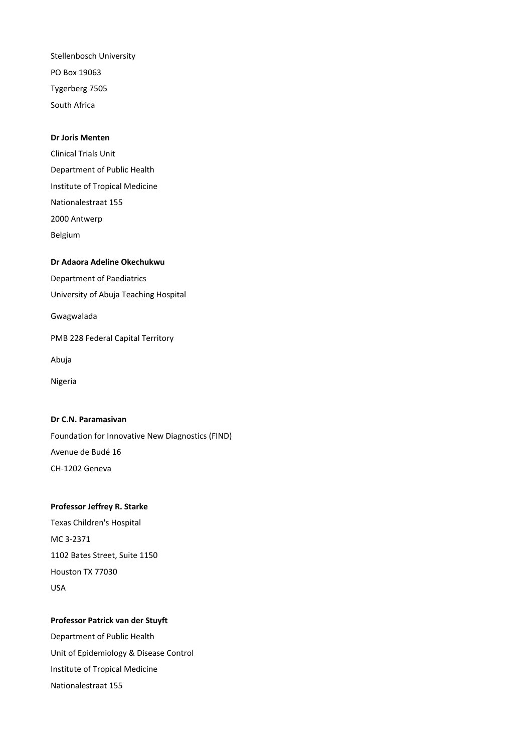Stellenbosch University PO Box 19063 Tygerberg 7505 South Africa

#### **Dr Joris Menten**

Clinical Trials Unit Department of Public Health Institute of Tropical Medicine Nationalestraat 155 2000 Antwerp Belgium

## **Dr Adaora Adeline Okechukwu**

Department of Paediatrics

University of Abuja Teaching Hospital

Gwagwalada

PMB 228 Federal Capital Territory

Abuja

Nigeria

#### **Dr C.N. Paramasivan**

Foundation for Innovative New Diagnostics (FIND) Avenue de Budé 16 CH‐1202 Geneva

## **Professor Jeffrey R. Starke**

Texas Children's Hospital MC 3‐2371 1102 Bates Street, Suite 1150 Houston TX 77030 USA

## **Professor Patrick van der Stuyft**

Department of Public Health Unit of Epidemiology & Disease Control Institute of Tropical Medicine Nationalestraat 155